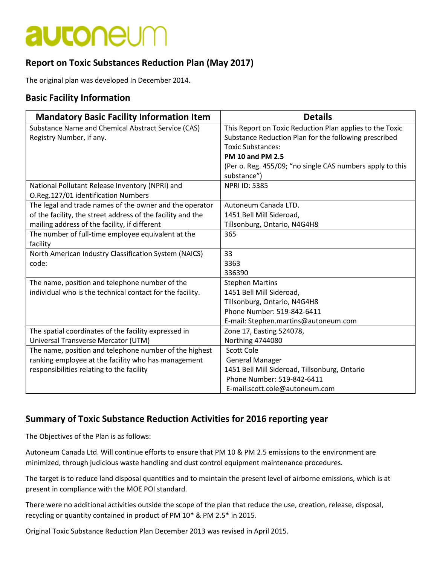## **autoneum**

### **Report on Toxic Substances Reduction Plan (May 2017)**

The original plan was developed In December 2014.

### **Basic Facility Information**

| <b>Mandatory Basic Facility Information Item</b>            | <b>Details</b>                                            |
|-------------------------------------------------------------|-----------------------------------------------------------|
| Substance Name and Chemical Abstract Service (CAS)          | This Report on Toxic Reduction Plan applies to the Toxic  |
| Registry Number, if any.                                    | Substance Reduction Plan for the following prescribed     |
|                                                             | <b>Toxic Substances:</b>                                  |
|                                                             | <b>PM 10 and PM 2.5</b>                                   |
|                                                             | (Per o. Reg. 455/09; "no single CAS numbers apply to this |
|                                                             | substance")                                               |
| National Pollutant Release Inventory (NPRI) and             | <b>NPRI ID: 5385</b>                                      |
| O.Reg.127/01 identification Numbers                         |                                                           |
| The legal and trade names of the owner and the operator     | Autoneum Canada LTD.                                      |
| of the facility, the street address of the facility and the | 1451 Bell Mill Sideroad,                                  |
| mailing address of the facility, if different               | Tillsonburg, Ontario, N4G4H8                              |
| The number of full-time employee equivalent at the          | 365                                                       |
| facility                                                    |                                                           |
| North American Industry Classification System (NAICS)       | 33                                                        |
| code:                                                       | 3363                                                      |
|                                                             | 336390                                                    |
| The name, position and telephone number of the              | <b>Stephen Martins</b>                                    |
| individual who is the technical contact for the facility.   | 1451 Bell Mill Sideroad,                                  |
|                                                             | Tillsonburg, Ontario, N4G4H8                              |
|                                                             | Phone Number: 519-842-6411                                |
|                                                             | E-mail: Stephen.martins@autoneum.com                      |
| The spatial coordinates of the facility expressed in        | Zone 17, Easting 524078,                                  |
| Universal Transverse Mercator (UTM)                         | Northing 4744080                                          |
| The name, position and telephone number of the highest      | Scott Cole                                                |
| ranking employee at the facility who has management         | <b>General Manager</b>                                    |
| responsibilities relating to the facility                   | 1451 Bell Mill Sideroad, Tillsonburg, Ontario             |
|                                                             | Phone Number: 519-842-6411                                |
|                                                             | E-mail:scott.cole@autoneum.com                            |

#### **Summary of Toxic Substance Reduction Activities for 2016 reporting year**

The Objectives of the Plan is as follows:

Autoneum Canada Ltd. Will continue efforts to ensure that PM 10 & PM 2.5 emissions to the environment are minimized, through judicious waste handling and dust control equipment maintenance procedures.

The target is to reduce land disposal quantities and to maintain the present level of airborne emissions, which is at present in compliance with the MOE POI standard.

There were no additional activities outside the scope of the plan that reduce the use, creation, release, disposal, recycling or quantity contained in product of PM 10\* & PM 2.5\* in 2015.

Original Toxic Substance Reduction Plan December 2013 was revised in April 2015.